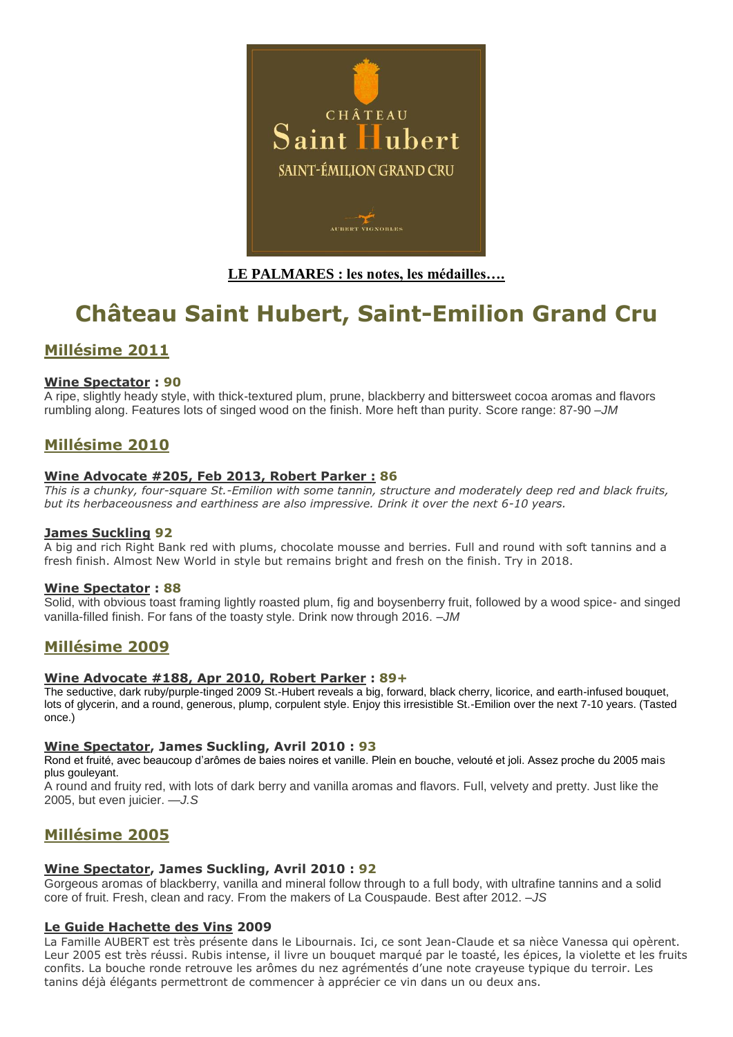

# **LE PALMARES : les notes, les médailles….**

# **Château Saint Hubert, Saint-Emilion Grand Cru**

# **Millésime 2011**

## **[Wine Spectator](http://www.winespectator.com/Wine/Home) : 90**

A ripe, slightly heady style, with thick-textured plum, prune, blackberry and bittersweet cocoa aromas and flavors rumbling along. Features lots of singed wood on the finish. More heft than purity. Score range: 87-90 *–JM*

# **Millésime 2010**

## **Wine Advocate #205, Feb 2013, Robert Parker : 86**

*This is a chunky, four-square St.-Emilion with some tannin, structure and moderately deep red and black fruits, but its herbaceousness and earthiness are also impressive. Drink it over the next 6-10 years.*

## **James Suckling 92**

A big and rich Right Bank red with plums, chocolate mousse and berries. Full and round with soft tannins and a fresh finish. Almost New World in style but remains bright and fresh on the finish. Try in 2018.

## **[Wine Spectator](http://www.winespectator.com/Wine/Home) : 88**

Solid, with obvious toast framing lightly roasted plum, fig and boysenberry fruit, followed by a wood spice- and singed vanilla-filled finish. For fans of the toasty style. Drink now through 2016. *–JM*

# **Millésime 2009**

## **Wine Advocate #188, Apr 2010, Robert Parker : 89+**

The seductive, dark ruby/purple-tinged 2009 St.-Hubert reveals a big, forward, black cherry, licorice, and earth-infused bouquet, lots of glycerin, and a round, generous, plump, corpulent style. Enjoy this irresistible St.-Emilion over the next 7-10 years. (Tasted once.)

#### **[Wine Spectator,](http://www.winespectator.com/Wine/Home) James Suckling, Avril 2010 : 93**

Rond et fruité, avec beaucoup d'arômes de baies noires et vanille. Plein en bouche, velouté et joli. Assez proche du 2005 mais plus gouleyant.

A round and fruity red, with lots of dark berry and vanilla aromas and flavors. Full, velvety and pretty. Just like the 2005, but even juicier. *—J.S*

# **Millésime 2005**

#### **[Wine Spectator,](http://www.winespectator.com/Wine/Home) James Suckling, Avril 2010 : 92**

Gorgeous aromas of blackberry, vanilla and mineral follow through to a full body, with ultrafine tannins and a solid core of fruit. Fresh, clean and racy. From the makers of La Couspaude. Best after 2012. *–JS*

## **[Le Guide Hachette des Vins](http://www.aubert-vignobles.com/) 2009**

La Famille AUBERT est très présente dans le Libournais. Ici, ce sont Jean-Claude et sa nièce Vanessa qui opèrent. Leur 2005 est très réussi. Rubis intense, il livre un bouquet marqué par le toasté, les épices, la violette et les fruits confits. La bouche ronde retrouve les arômes du nez agrémentés d'une note crayeuse typique du terroir. Les tanins déjà élégants permettront de commencer à apprécier ce vin dans un ou deux ans.